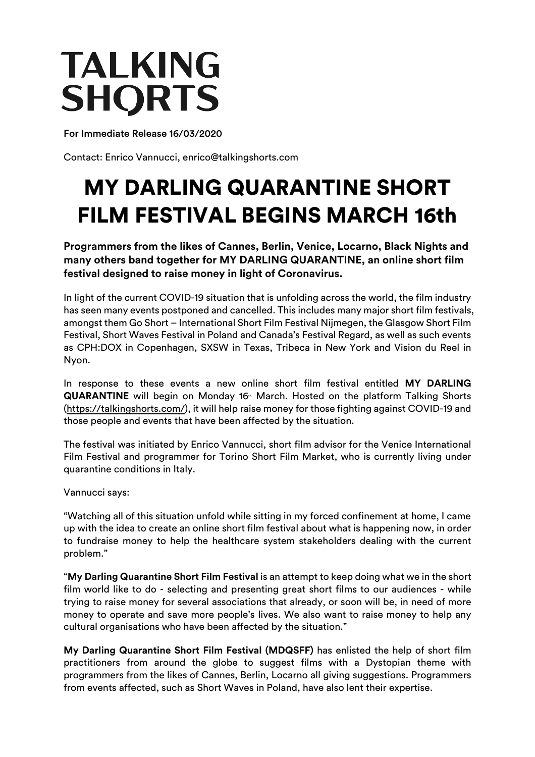## **TALKING SHORTS**

For Immediate Release 16/03/2020

Contact: Enrico Vannucci, enrico@talkingshorts.com

## MY DARLING QUARANTINE SHORT FILM FESTIVAL BEGINS MARCH 16th

**Programmers from the likes of Cannes, Berlin, Venice, Locarno, Black Nights and many others band together for MY DARLING QUARANTINE, an online short film festival designed to raise money in light of Coronavirus.**

In light of the current COVID-19 situation that is unfolding across the world, the film industry has seen many events postponed and cancelled. This includes many major short film festivals, amongst them Go Short – International Short Film Festival Nijmegen, the Glasgow Short Film Festival, Short Waves Festival in Poland and Canada's Festival Regard, as well as such events as CPH:DOX in Copenhagen, SXSW in Texas, Tribeca in New York and Vision du Reel in Nyon.

In response to these events a new online short film festival entitled **MY DARLING**  QUARANTINE will begin on Monday 16<sup>th</sup> March. Hosted on the platform Talking Shorts (https://talkingshorts.com/), it will help raise money for those fighting against COVID-19 and those people and events that have been affected by the situation.

The festival was initiated by Enrico Vannucci, short film advisor for the Venice International Film Festival and programmer for Torino Short Film Market, who is currently living under quarantine conditions in Italy.

Vannucci says:

"Watching all of this situation unfold while sitting in my forced confinement at home, I came up with the idea to create an online short film festival about what is happening now, in order to fundraise money to help the healthcare system stakeholders dealing with the current problem."

"**My Darling Quarantine Short Film Festival** is an attempt to keep doing what we in the short film world like to do - selecting and presenting great short films to our audiences - while trying to raise money for several associations that already, or soon will be, in need of more money to operate and save more people's lives. We also want to raise money to help any cultural organisations who have been affected by the situation."

**My Darling Quarantine Short Film Festival (MDQSFF)** has enlisted the help of short film practitioners from around the globe to suggest films with a Dystopian theme with programmers from the likes of Cannes, Berlin, Locarno all giving suggestions. Programmers from events affected, such as Short Waves in Poland, have also lent their expertise.